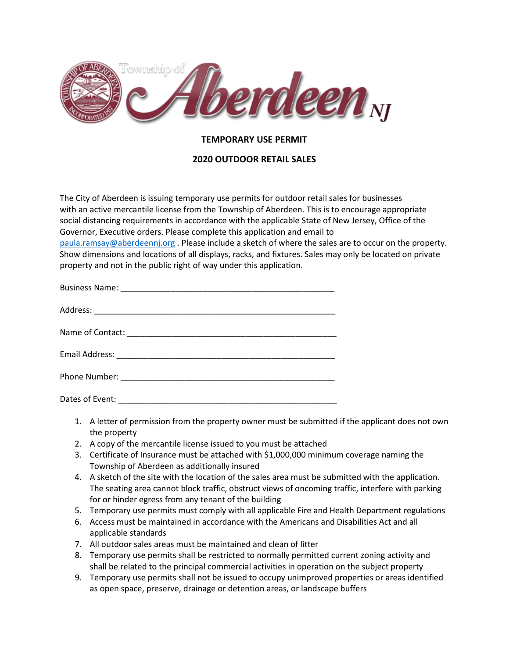

## **TEMPORARY USE PERMIT**

## **2020 OUTDOOR RETAIL SALES**

The City of Aberdeen is issuing temporary use permits for outdoor retail sales for businesses with an active mercantile license from the Township of Aberdeen. This is to encourage appropriate social distancing requirements in accordance with the applicable State of New Jersey, Office of the Governor, Executive orders. Please complete this application and email to [paula.ramsay@aberdeennj.org](mailto:paula.ramsay@aberdeennj.org) . Please include a sketch of where the sales are to occur on the property. Show dimensions and locations of all displays, racks, and fixtures. Sales may only be located on private property and not in the public right of way under this application.

- 1. A letter of permission from the property owner must be submitted if the applicant does not own the property
- 2. A copy of the mercantile license issued to you must be attached
- 3. Certificate of Insurance must be attached with \$1,000,000 minimum coverage naming the Township of Aberdeen as additionally insured
- 4. A sketch of the site with the location of the sales area must be submitted with the application. The seating area cannot block traffic, obstruct views of oncoming traffic, interfere with parking for or hinder egress from any tenant of the building
- 5. Temporary use permits must comply with all applicable Fire and Health Department regulations
- 6. Access must be maintained in accordance with the Americans and Disabilities Act and all applicable standards
- 7. All outdoor sales areas must be maintained and clean of litter
- 8. Temporary use permits shall be restricted to normally permitted current zoning activity and shall be related to the principal commercial activities in operation on the subject property
- 9. Temporary use permits shall not be issued to occupy unimproved properties or areas identified as open space, preserve, drainage or detention areas, or landscape buffers